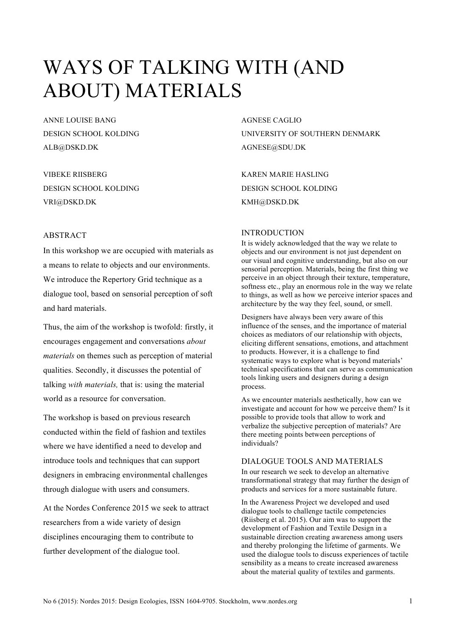# WAYS OF TALKING WITH (AND ABOUT) MATERIALS

ANNE LOUISE BANG DESIGN SCHOOL KOLDING ALB@DSKD.DK

VIBEKE RIISBERG DESIGN SCHOOL KOLDING VRI@DSKD.DK

## AGNESE CAGLIO UNIVERSITY OF SOUTHERN DENMARK AGNESE@SDU.DK

KAREN MARIE HASLING DESIGN SCHOOL KOLDING KMH@DSKD.DK

## ABSTRACT

In this workshop we are occupied with materials as a means to relate to objects and our environments. We introduce the Repertory Grid technique as a dialogue tool, based on sensorial perception of soft and hard materials.

Thus, the aim of the workshop is twofold: firstly, it encourages engagement and conversations *about materials* on themes such as perception of material qualities. Secondly, it discusses the potential of talking *with materials,* that is: using the material world as a resource for conversation.

The workshop is based on previous research conducted within the field of fashion and textiles where we have identified a need to develop and introduce tools and techniques that can support designers in embracing environmental challenges through dialogue with users and consumers.

At the Nordes Conference 2015 we seek to attract researchers from a wide variety of design disciplines encouraging them to contribute to further development of the dialogue tool.

#### INTRODUCTION

It is widely acknowledged that the way we relate to objects and our environment is not just dependent on our visual and cognitive understanding, but also on our sensorial perception. Materials, being the first thing we perceive in an object through their texture, temperature, softness etc., play an enormous role in the way we relate to things, as well as how we perceive interior spaces and architecture by the way they feel, sound, or smell.

Designers have always been very aware of this influence of the senses, and the importance of material choices as mediators of our relationship with objects, eliciting different sensations, emotions, and attachment to products. However, it is a challenge to find systematic ways to explore what is beyond materials' technical specifications that can serve as communication tools linking users and designers during a design process.

As we encounter materials aesthetically, how can we investigate and account for how we perceive them? Is it possible to provide tools that allow to work and verbalize the subjective perception of materials? Are there meeting points between perceptions of individuals?

## DIALOGUE TOOLS AND MATERIALS

In our research we seek to develop an alternative transformational strategy that may further the design of products and services for a more sustainable future.

In the Awareness Project we developed and used dialogue tools to challenge tactile competencies (Riisberg et al. 2015). Our aim was to support the development of Fashion and Textile Design in a sustainable direction creating awareness among users and thereby prolonging the lifetime of garments. We used the dialogue tools to discuss experiences of tactile sensibility as a means to create increased awareness about the material quality of textiles and garments.